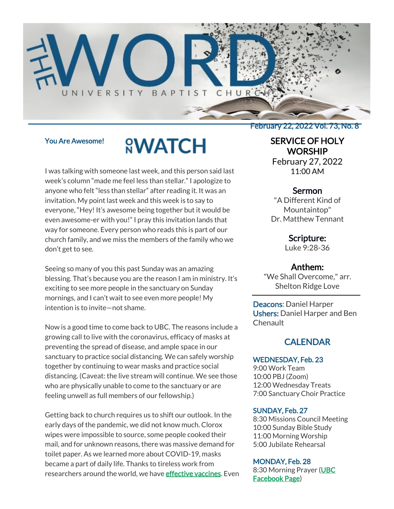

## You Are Awesome!

# **<u>NWATCH</u>**

I was talking with someone last week, and this person said last week's column "made me feel less than stellar." I apologize to anyone who felt "less than stellar" after reading it. It was an invitation. My point last week and this week is to say to everyone, "Hey! It's awesome being together but it would be even awesome-er with you!" I pray this invitation lands that way for someone. Every person who reads this is part of our church family, and we miss the members of the family who we don't get to see.

Seeing so many of you this past Sunday was an amazing blessing. That's because you are the reason I am in ministry. It's exciting to see more people in the sanctuary on Sunday mornings, and I can't wait to see even more people! My intention is to invite—not shame.

Now is a good time to come back to UBC. The reasons include a growing call to live with the coronavirus, efficacy of masks at preventing the spread of disease, and ample space in our sanctuary to practice social distancing. We can safely worship together by continuing to wear masks and practice social distancing. (Caveat: the live stream will continue. We see those who are physically unable to come to the sanctuary or are feeling unwell as full members of our fellowship.)

Getting back to church requires us to shift our outlook. In the early days of the pandemic, we did not know much. Clorox wipes were impossible to source, some people cooked their mail, and for unknown reasons, there was massive demand for toilet paper. As we learned more about COVID-19, masks became a part of daily life. Thanks to tireless work from researchers around the world, we have **effective vaccines**. Even February 22, 2022 Vol. 73, No. 8

# SERVICE OF HOLY **WORSHIP**

February 27, 2022 11:00 AM

#### Sermon

"A Different Kind of Mountaintop" Dr. Matthew Tennant

Scripture:

Luke 9:28-36

#### Anthem:

"We Shall Overcome," arr. Shelton Ridge Love

Deacons: Daniel Harper Ushers: Daniel Harper and Ben Chenault

# **CALENDAR**

#### WEDNESDAY, Feb. 23

9:00 Work Team 10:00 PBJ (Zoom) 12:00 Wednesday Treats 7:00 Sanctuary Choir Practice

#### SUNDAY, Feb. 27

8:30 Missions Council Meeting 10:00 Sunday Bible Study 11:00 Morning Worship 5:00 Jubilate Rehearsal

#### MONDAY, Feb. 28

8:30 Morning Prayer [\(UBC](https://www.facebook.com/UniversityBaptistChurchCharlottesville) [Facebook Page\)](https://www.facebook.com/UniversityBaptistChurchCharlottesville)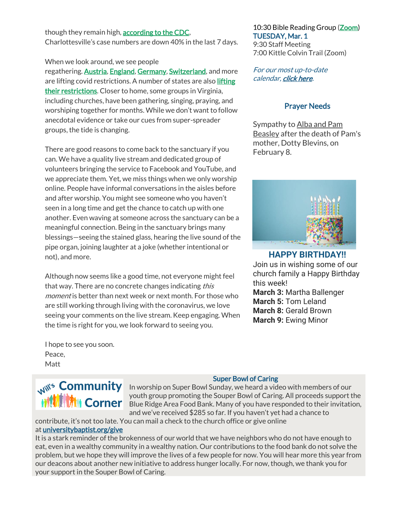though they remain high, **according to the CDC**, Charlottesville's case numbers are down 40% in the last 7 days.

When we look around, we see people regathering. **[Austria,](https://www.reuters.com/business/healthcare-pharmaceuticals/austria-lift-most-covid-19-restrictions-by-march-5-2022-02-16/) [England,](https://www.pbs.org/newshour/world/boris-johnson-lifts-remaining-covid-restrictions-in-england) [Germany,](https://www.aljazeera.com/news/2022/2/16/germany-to-ease-coronavirus-curbs-will-lift-more-rules-in-march) Switzerland**, and more are [lifting](https://www.cnn.com/2022/02/19/us/covid-mandates-vaccine-indoor-dining/index.html) covid restrictions. A number of states are also *lifting* [their restrictions.](https://www.cnn.com/2022/02/19/us/covid-mandates-vaccine-indoor-dining/index.html) Closer to home, some groups in Virginia, including churches, have been gathering, singing, praying, and worshiping together for months. While we don't want to follow anecdotal evidence or take our cues from super-spreader groups, the tide is changing.

There are good reasons to come back to the sanctuary if you can. We have a quality live stream and dedicated group of volunteers bringing the service to Facebook and YouTube, and we appreciate them. Yet, we miss things when we only worship online. People have informal conversations in the aisles before and after worship. You might see someone who you haven't seen in a long time and get the chance to catch up with one another. Even waving at someone across the sanctuary can be a meaningful connection. Being in the sanctuary brings many blessings—seeing the stained glass, hearing the live sound of the pipe organ, joining laughter at a joke (whether intentional or not), and more.

Although now seems like a good time, not everyone might feel that way. There are no concrete changes indicating this moment is better than next week or next month. For those who are still working through living with the coronavirus, we love seeing your comments on the live stream. Keep engaging. When the time is right for you, we look forward to seeing you.

10:30 Bible Reading Group [\(Zoom\)](https://us02web.zoom.us/j/85381408096?pwd=MzdkVG9JZ2x0M2JFK01KNlNjSWtqUT09) TUESDAY, Mar. 1

9:30 Staff Meeting 7:00 Kittle Colvin Trail (Zoom)

For our most up-to-date calendar, [click here.](https://universitybaptist.org/calendar/)

# Prayer Needs

Sympathy to Alba and Pam Beasley after the death of Pam's mother, Dotty Blevins, on February 8.



# **HAPPY BIRTHDAY!!**

Join us in wishing some of our church family a Happy Birthday this week! **March 3:** Martha Ballenger **March 5:** Tom Leland **March 8:** Gerald Brown **March 9:** Ewing Minor

I hope to see you soon. Peace, Matt

# **M** Corner

# Super Bowl of Caring

In worship on Super Bowl of Carling Community In worship on Super Bowl Sunday, we heard a video with members of our youth group promoting the Souper Bowl of Caring. All proceeds support the Blue Ridge Area Food Bank. Many of you have responded to their invitation, and we've received \$285 so far. If you haven't yet had a chance to

contribute, it's not too late. You can mail a check to the church office or give online at [universitybaptist.org/give](http://universitybaptist.org/give)

It is a stark reminder of the brokenness of our world that we have neighbors who do not have enough to eat, even in a wealthy community in a wealthy nation. Our contributions to the food bank do not solve the problem, but we hope they will improve the lives of a few people for now. You will hear more this year from our deacons about another new initiative to address hunger locally. For now, though, we thank you for your support in the Souper Bowl of Caring.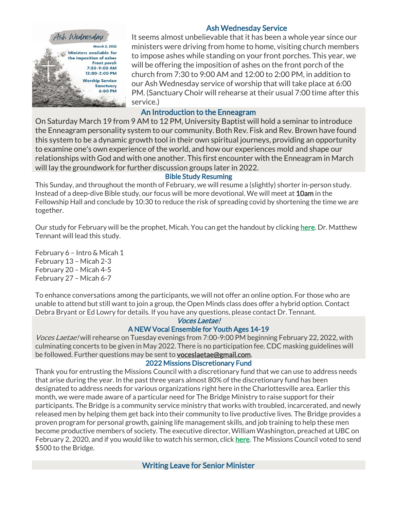

# Ash Wednesday Service

It seems almost unbelievable that it has been a whole year since our ministers were driving from home to home, visiting church members to impose ashes while standing on your front porches. This year, we will be offering the imposition of ashes on the front porch of the church from 7:30 to 9:00 AM and 12:00 to 2:00 PM, in addition to our Ash Wednesday service of worship that will take place at 6:00 PM. (Sanctuary Choir will rehearse at their usual 7:00 time after this service.)

# An Introduction to the Enneagram

On Saturday March 19 from 9 AM to 12 PM, University Baptist will hold a seminar to introduce the Enneagram personality system to our community. Both Rev. Fisk and Rev. Brown have found this system to be a dynamic growth tool in their own spiritual journeys, providing an opportunity to examine one's own experience of the world, and how our experiences mold and shape our relationships with God and with one another. This first encounter with the Enneagram in March will lay the groundwork for further discussion groups later in 2022.

## Bible Study Resuming

This Sunday, and throughout the month of February, we will resume a (slightly) shorter in-person study. Instead of a deep-dive Bible study, our focus will be more devotional. We will meet at 10am in the Fellowship Hall and conclude by 10:30 to reduce the risk of spreading covid by shortening the time we are together.

Our study for February will be the prophet, Micah. You can get the handout by clicking [here.](https://universitybaptist.org/wp-content/uploads/2022/02/Micah.pdf) Dr. Matthew Tennant will lead this study.

February 6 – Intro & Micah 1 February 13 – Micah 2-3 February 20 – Micah 4-5 February 27 – Micah 6-7

To enhance conversations among the participants, we will not offer an online option. For those who are unable to attend but still want to join a group, the Open Minds class does offer a hybrid option. Contact Debra Bryant or Ed Lowry for details. If you have any questions, please contact Dr. Tennant.

#### Voces Laetae!

#### A NEW Vocal Ensemble for Youth Ages 14-19

Voces Laetae! will rehearse on Tuesday evenings from 7:00-9:00 PM beginning February 22, 2022, with culminating concerts to be given in May 2022. There is no participation fee. CDC masking guidelines will be followed. Further questions may be sent to **voceslaetae@gmail.com**.

#### 2022 Missions Discretionary Fund

Thank you for entrusting the Missions Council with a discretionary fund that we can use to address needs that arise during the year. In the past three years almost 80% of the discretionary fund has been designated to address needs for various organizations right here in the Charlottesville area. Earlier this month, we were made aware of a particular need for The Bridge Ministry to raise support for their participants. The Bridge is a community service ministry that works with troubled, incarcerated, and newly released men by helping them get back into their community to live productive lives. The Bridge provides a proven program for personal growth, gaining life management skills, and job training to help these men become productive members of society. The executive director, William Washington, preached at UBC on February 2, 2020, and if you would like to watch his sermon, click [here.](https://youtu.be/_3V9YZ_qXC0?t=2317) The Missions Council voted to send \$500 to the Bridge.

Writing Leave for Senior Minister